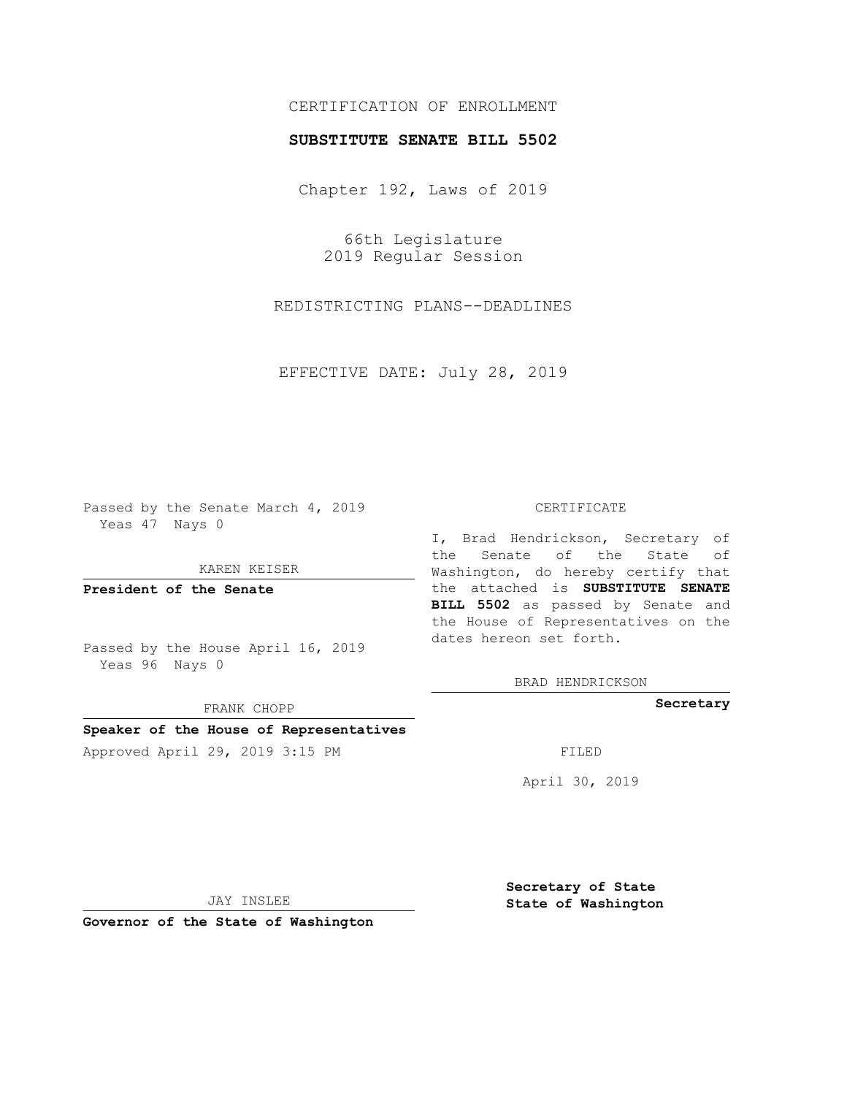# CERTIFICATION OF ENROLLMENT

### **SUBSTITUTE SENATE BILL 5502**

Chapter 192, Laws of 2019

66th Legislature 2019 Regular Session

REDISTRICTING PLANS--DEADLINES

EFFECTIVE DATE: July 28, 2019

Passed by the Senate March 4, 2019 Yeas 47 Nays 0

KAREN KEISER

**President of the Senate**

Passed by the House April 16, 2019 Yeas 96 Nays 0

FRANK CHOPP

# **Speaker of the House of Representatives**

Approved April 29, 2019 3:15 PM FILED

#### CERTIFICATE

I, Brad Hendrickson, Secretary of the Senate of the State of Washington, do hereby certify that the attached is **SUBSTITUTE SENATE BILL 5502** as passed by Senate and the House of Representatives on the dates hereon set forth.

BRAD HENDRICKSON

**Secretary**

April 30, 2019

JAY INSLEE

**Governor of the State of Washington**

**Secretary of State State of Washington**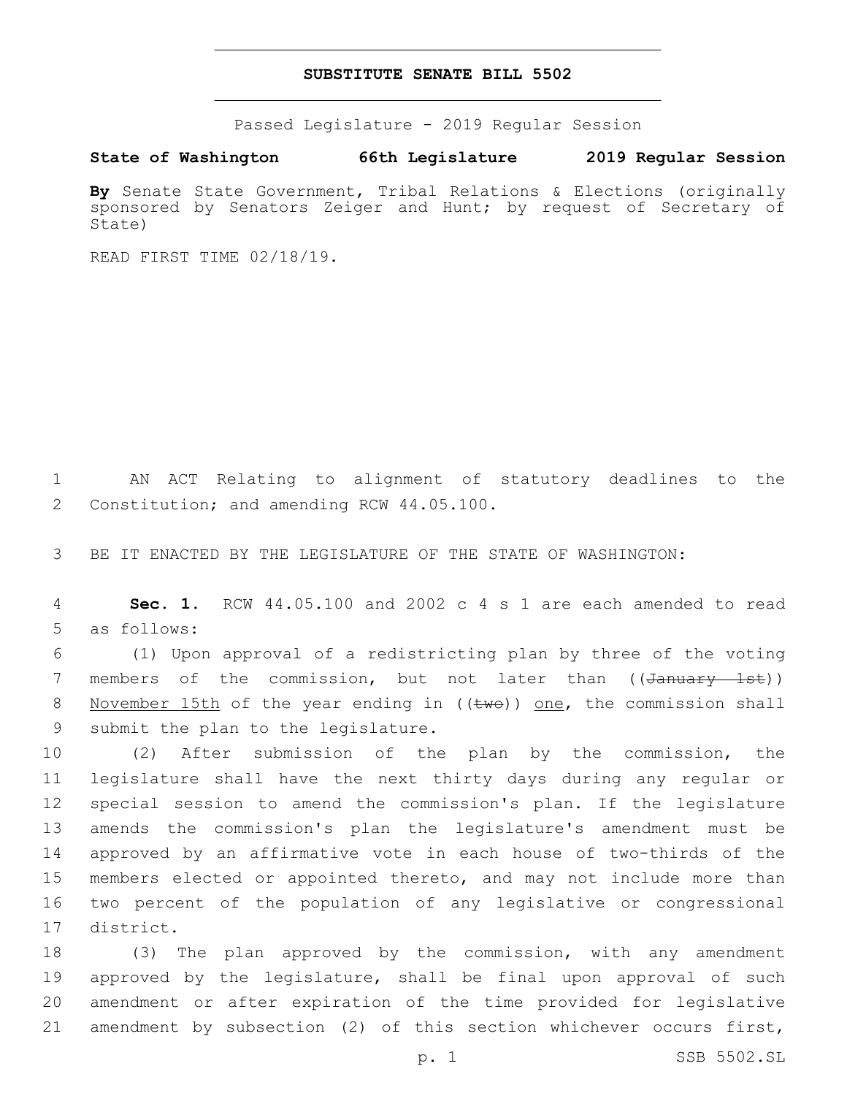#### **SUBSTITUTE SENATE BILL 5502**

Passed Legislature - 2019 Regular Session

**State of Washington 66th Legislature 2019 Regular Session**

**By** Senate State Government, Tribal Relations & Elections (originally sponsored by Senators Zeiger and Hunt; by request of Secretary of State)

READ FIRST TIME 02/18/19.

1 AN ACT Relating to alignment of statutory deadlines to the 2 Constitution; and amending RCW 44.05.100.

3 BE IT ENACTED BY THE LEGISLATURE OF THE STATE OF WASHINGTON:

4 **Sec. 1.** RCW 44.05.100 and 2002 c 4 s 1 are each amended to read 5 as follows:

6 (1) Upon approval of a redistricting plan by three of the voting 7 members of the commission, but not later than ((January 1st)) 8 November 15th of the year ending in ((twe)) one, the commission shall 9 submit the plan to the legislature.

 (2) After submission of the plan by the commission, the legislature shall have the next thirty days during any regular or special session to amend the commission's plan. If the legislature amends the commission's plan the legislature's amendment must be approved by an affirmative vote in each house of two-thirds of the members elected or appointed thereto, and may not include more than two percent of the population of any legislative or congressional 17 district.

 (3) The plan approved by the commission, with any amendment approved by the legislature, shall be final upon approval of such amendment or after expiration of the time provided for legislative amendment by subsection (2) of this section whichever occurs first,